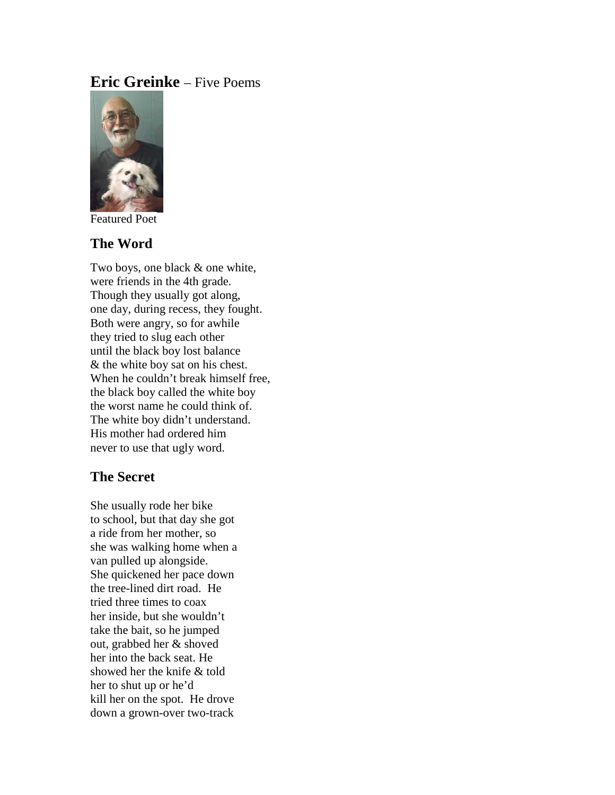## **Eric Greinke** – Five Poems



Featured Poet

### **The Word**

Two boys, one black & one white, were friends in the 4th grade. Though they usually got along, one day, during recess, they fought. Both were angry, so for awhile they tried to slug each other until the black boy lost balance & the white boy sat on his chest. When he couldn't break himself free, the black boy called the white boy the worst name he could think of. The white boy didn't understand. His mother had ordered him never to use that ugly word.

## **The Secret**

She usually rode her bike to school, but that day she got a ride from her mother, so she was walking home when a van pulled up alongside. She quickened her pace down the tree-lined dirt road. He tried three times to coax her inside, but she wouldn't take the bait, so he jumped out, grabbed her & shoved her into the back seat. He showed her the knife & told her to shut up or he'd kill her on the spot. He drove down a grown-over two-track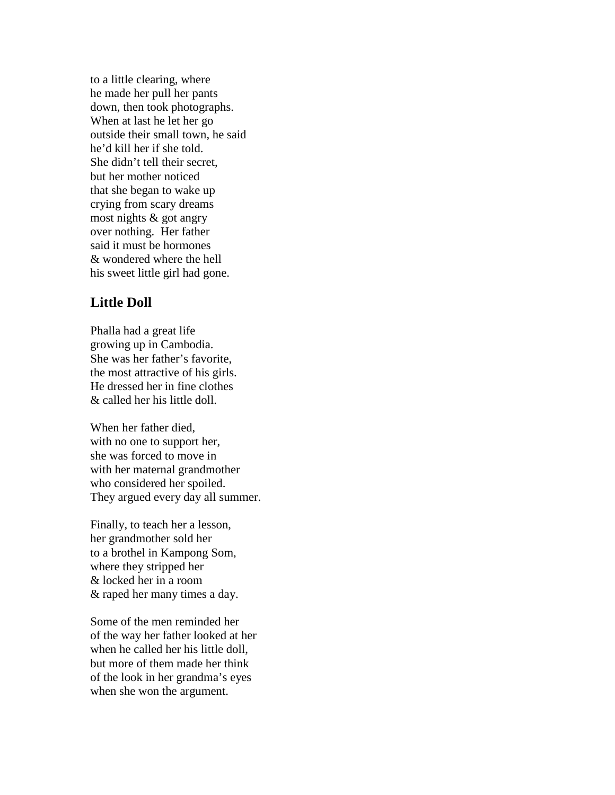to a little clearing, where he made her pull her pants down, then took photographs. When at last he let her go outside their small town, he said he'd kill her if she told. She didn't tell their secret, but her mother noticed that she began to wake up crying from scary dreams most nights & got angry over nothing. Her father said it must be hormones & wondered where the hell his sweet little girl had gone.

# **Little Doll**

Phalla had a great life growing up in Cambodia. She was her father's favorite, the most attractive of his girls. He dressed her in fine clothes & called her his little doll.

When her father died, with no one to support her, she was forced to move in with her maternal grandmother who considered her spoiled. They argued every day all summer.

Finally, to teach her a lesson, her grandmother sold her to a brothel in Kampong Som, where they stripped her & locked her in a room & raped her many times a day.

Some of the men reminded her of the way her father looked at her when he called her his little doll, but more of them made her think of the look in her grandma's eyes when she won the argument.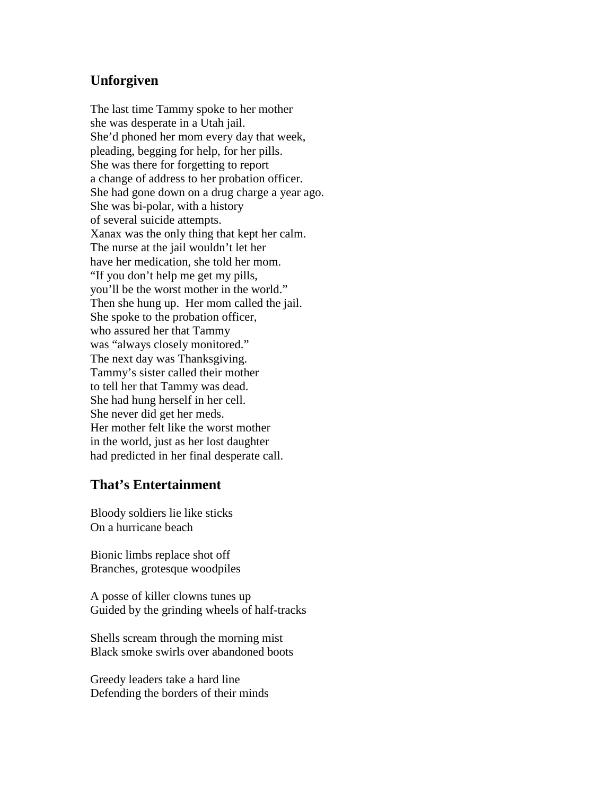## **Unforgiven**

The last time Tammy spoke to her mother she was desperate in a Utah jail. She'd phoned her mom every day that week, pleading, begging for help, for her pills. She was there for forgetting to report a change of address to her probation officer. She had gone down on a drug charge a year ago. She was bi-polar, with a history of several suicide attempts. Xanax was the only thing that kept her calm. The nurse at the jail wouldn't let her have her medication, she told her mom. "If you don't help me get my pills, you'll be the worst mother in the world." Then she hung up. Her mom called the jail. She spoke to the probation officer, who assured her that Tammy was "always closely monitored." The next day was Thanksgiving. Tammy's sister called their mother to tell her that Tammy was dead. She had hung herself in her cell. She never did get her meds. Her mother felt like the worst mother in the world, just as her lost daughter had predicted in her final desperate call.

### **That's Entertainment**

Bloody soldiers lie like sticks On a hurricane beach

Bionic limbs replace shot off Branches, grotesque woodpiles

A posse of killer clowns tunes up Guided by the grinding wheels of half-tracks

Shells scream through the morning mist Black smoke swirls over abandoned boots

Greedy leaders take a hard line Defending the borders of their minds